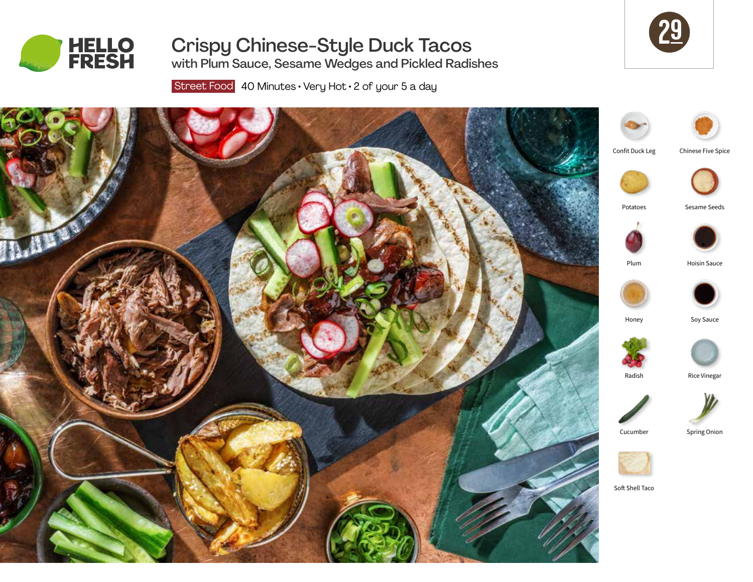

# Crispy Chinese-Style Duck Tacos

with Plum Sauce, Sesame Wedges and Pickled Radishes

29

Street Food 40 Minutes · Very Hot · 2 of your 5 a day